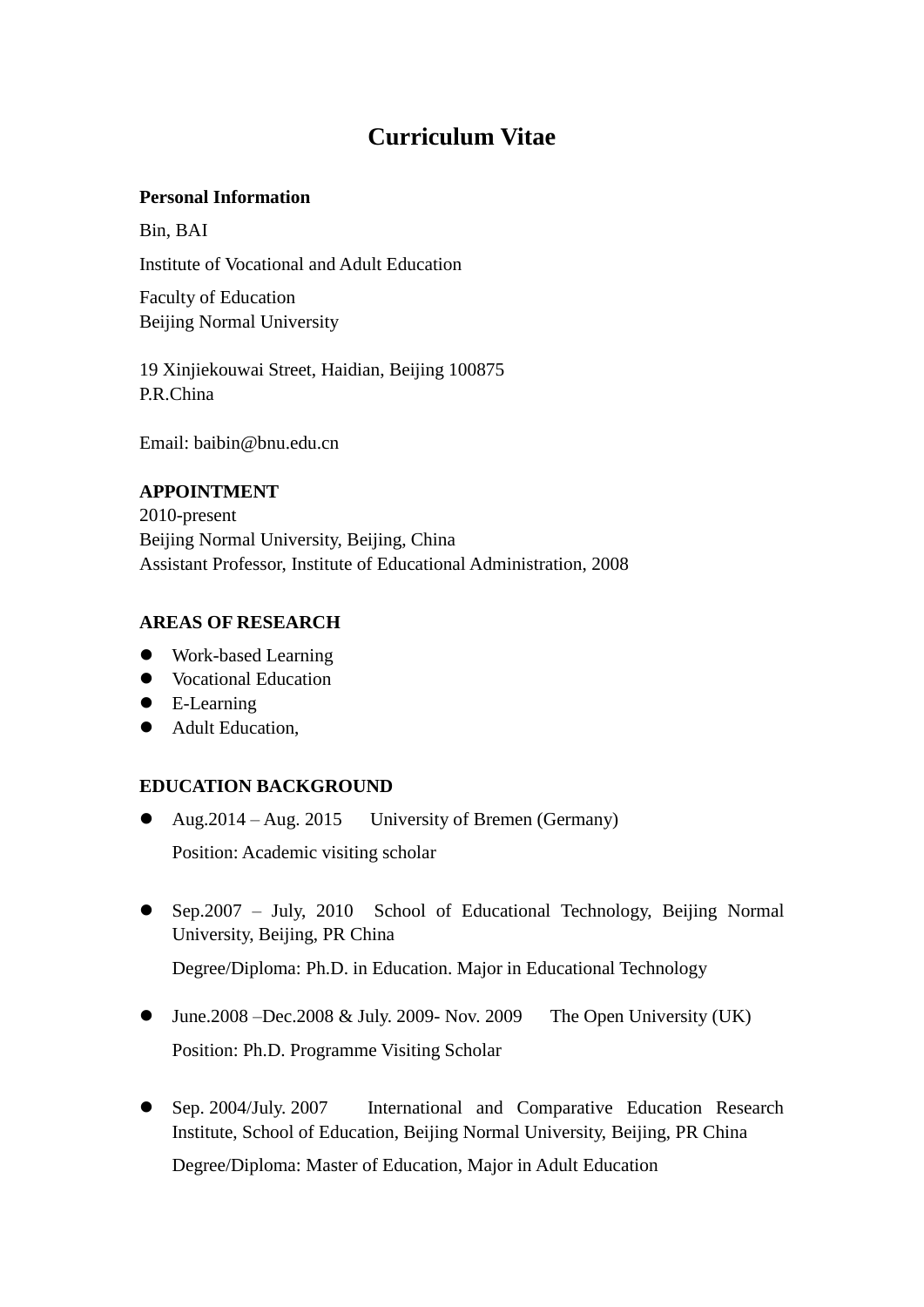# **Curriculum Vitae**

#### **Personal Information**

Bin, BAI Institute of Vocational and Adult Education

Faculty of Education Beijing Normal University

19 Xinjiekouwai Street, Haidian, Beijing 100875 P.R.China

Email: baibin@bnu.edu.cn

## **APPOINTMENT**

2010-present Beijing Normal University, Beijing, China Assistant Professor, Institute of Educational Administration, 2008

## **AREAS OF RESEARCH**

- Work-based Learning
- Vocational Education
- E-Learning
- Adult Education,

# **EDUCATION BACKGROUND**

- Aug.2014 Aug. 2015 University of Bremen (Germany) Position: Academic visiting scholar
- Sep.2007 July, 2010 School of Educational Technology, Beijing Normal University, Beijing, PR China

Degree/Diploma: Ph.D. in Education. Major in Educational Technology

- $\bullet$  June.2008 –Dec.2008 & July. 2009- Nov. 2009 The Open University (UK) Position: Ph.D. Programme Visiting Scholar
- Sep. 2004/July. 2007 International and Comparative Education Research Institute, School of Education, Beijing Normal University, Beijing, PR China Degree/Diploma: Master of Education, Major in Adult Education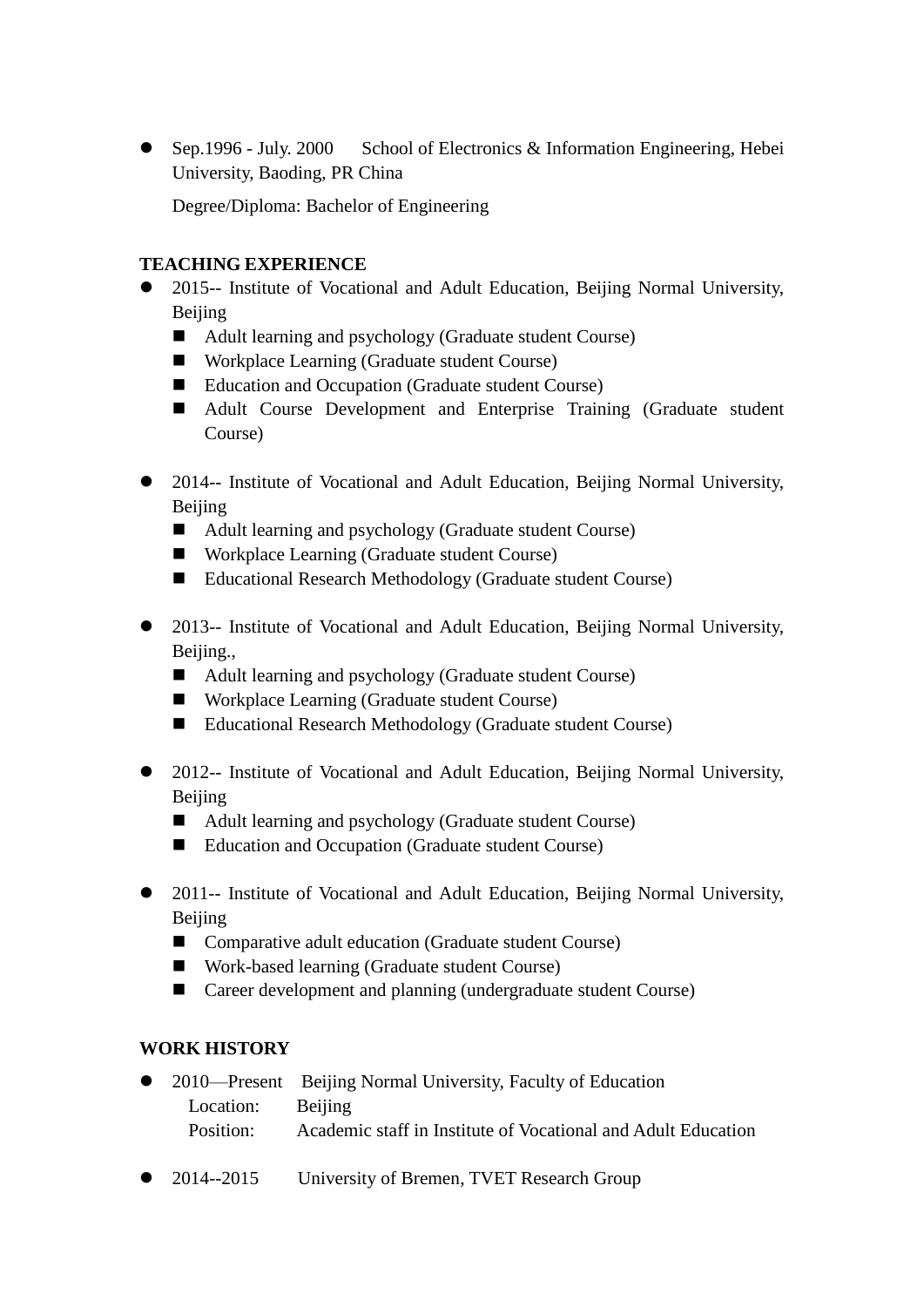• Sep.1996 - July. 2000 School of Electronics & Information Engineering, Hebei University, Baoding, PR China

Degree/Diploma: Bachelor of Engineering

## **TEACHING EXPERIENCE**

- 2015-- Institute of Vocational and Adult Education, Beijing Normal University, Beijing
	- Adult learning and psychology (Graduate student Course)
	- Workplace Learning (Graduate student Course)
	- Education and Occupation (Graduate student Course)
	- Adult Course Development and Enterprise Training (Graduate student Course)
- 2014-- Institute of Vocational and Adult Education, Beijing Normal University, Beijing
	- Adult learning and psychology (Graduate student Course)
	- Workplace Learning (Graduate student Course)
	- Educational Research Methodology (Graduate student Course)
- 2013-- Institute of Vocational and Adult Education, Beijing Normal University, Beijing.,
	- Adult learning and psychology (Graduate student Course)
	- Workplace Learning (Graduate student Course)
	- Educational Research Methodology (Graduate student Course)
- 2012-- Institute of Vocational and Adult Education, Beijing Normal University, Beijing
	- Adult learning and psychology (Graduate student Course)
	- Education and Occupation (Graduate student Course)
- 2011-- Institute of Vocational and Adult Education, Beijing Normal University, Beijing
	- Comparative adult education (Graduate student Course)
	- Work-based learning (Graduate student Course)
	- Career development and planning (undergraduate student Course)

# **WORK HISTORY**

- 2010—Present Beijing Normal University, Faculty of Education Location: Beijing Position: Academic staff in Institute of Vocational and Adult Education
- 2014--2015 University of Bremen, TVET Research Group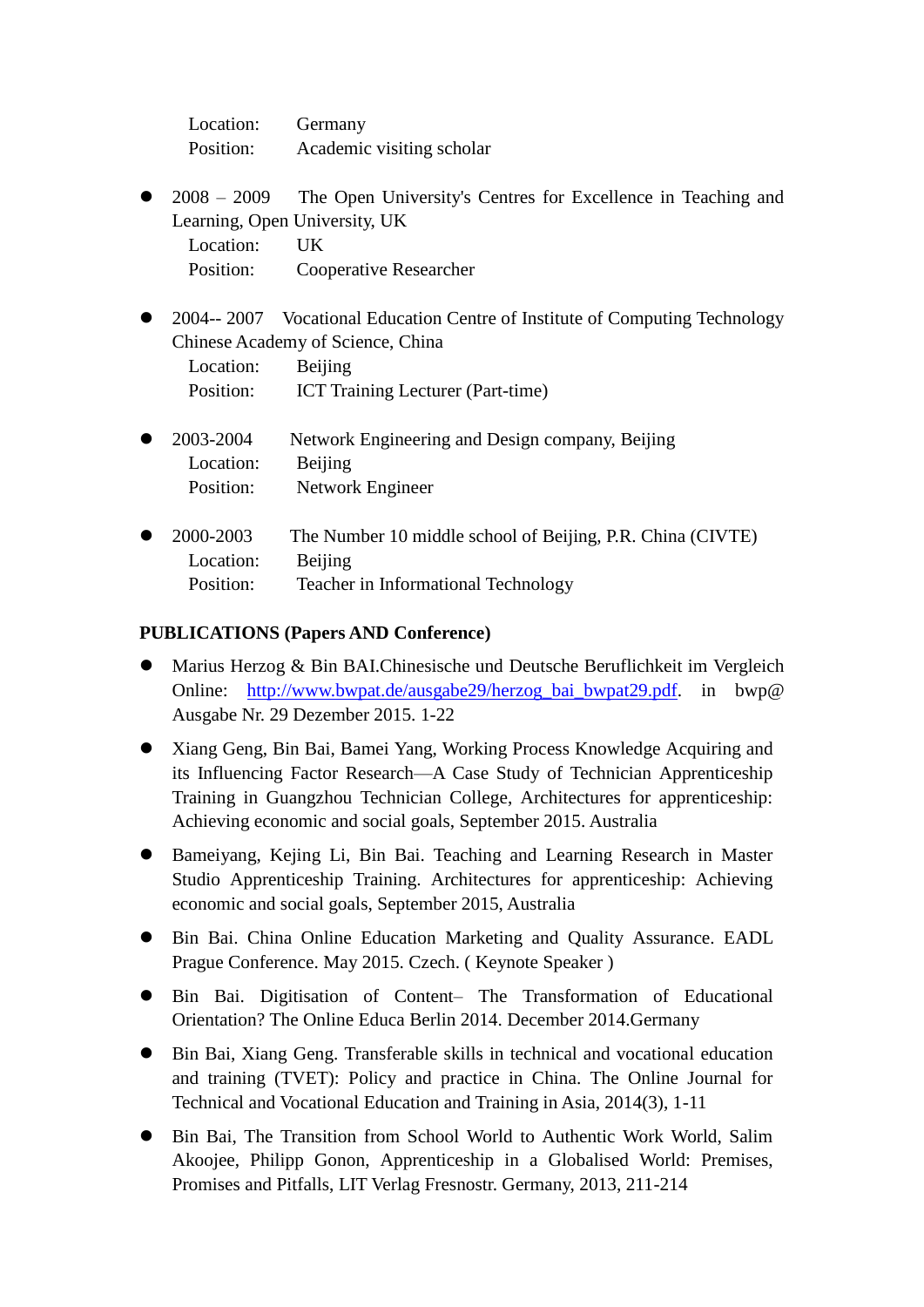| Location: | Germany                   |
|-----------|---------------------------|
| Position: | Academic visiting scholar |

• 2008 – 2009 The Open University's Centres for Excellence in Teaching and Learning, Open University, UK

Location: UK Position: Cooperative Researcher

 2004-- 2007 Vocational Education Centre of Institute of Computing Technology Chinese Academy of Science, China

Location: Beijing Position: ICT Training Lecturer (Part-time)

- 2003-2004 Network Engineering and Design company, Beijing Location: Beijing Position: Network Engineer
- 2000-2003 The Number 10 middle school of Beijing, P.R. China (CIVTE) Location: Beijing Position: Teacher in Informational Technology

## **PUBLICATIONS (Papers AND Conference)**

- Marius Herzog & Bin BAI.Chinesische und Deutsche Beruflichkeit im Vergleich Online: [http://www.bwpat.de/ausgabe29/herzog\\_bai\\_bwpat29.pdf.](http://www.bwpat.de/ausgabe29/herzog_bai_bwpat29.pdf) in bwp@ Ausgabe Nr. 29 Dezember 2015. 1-22
- Xiang Geng, Bin Bai, Bamei Yang, Working Process Knowledge Acquiring and its Influencing Factor Research—A Case Study of Technician Apprenticeship Training in Guangzhou Technician College, Architectures for apprenticeship: Achieving economic and social goals, September 2015. Australia
- Bameiyang, Kejing Li, Bin Bai. Teaching and Learning Research in Master Studio Apprenticeship Training. Architectures for apprenticeship: Achieving economic and social goals, September 2015, Australia
- Bin Bai. China Online Education Marketing and Quality Assurance. EADL Prague Conference. May 2015. Czech. ( Keynote Speaker )
- Bin Bai. Digitisation of Content– The Transformation of Educational Orientation? The Online Educa Berlin 2014. December 2014.Germany
- Bin Bai, Xiang Geng. Transferable skills in technical and vocational education and training (TVET): Policy and practice in China. The Online Journal for Technical and Vocational Education and Training in Asia, 2014(3), 1-11
- Bin Bai, The Transition from School World to Authentic Work World, Salim Akoojee, Philipp Gonon, Apprenticeship in a Globalised World: Premises, Promises and Pitfalls, LIT Verlag Fresnostr. Germany, 2013, 211-214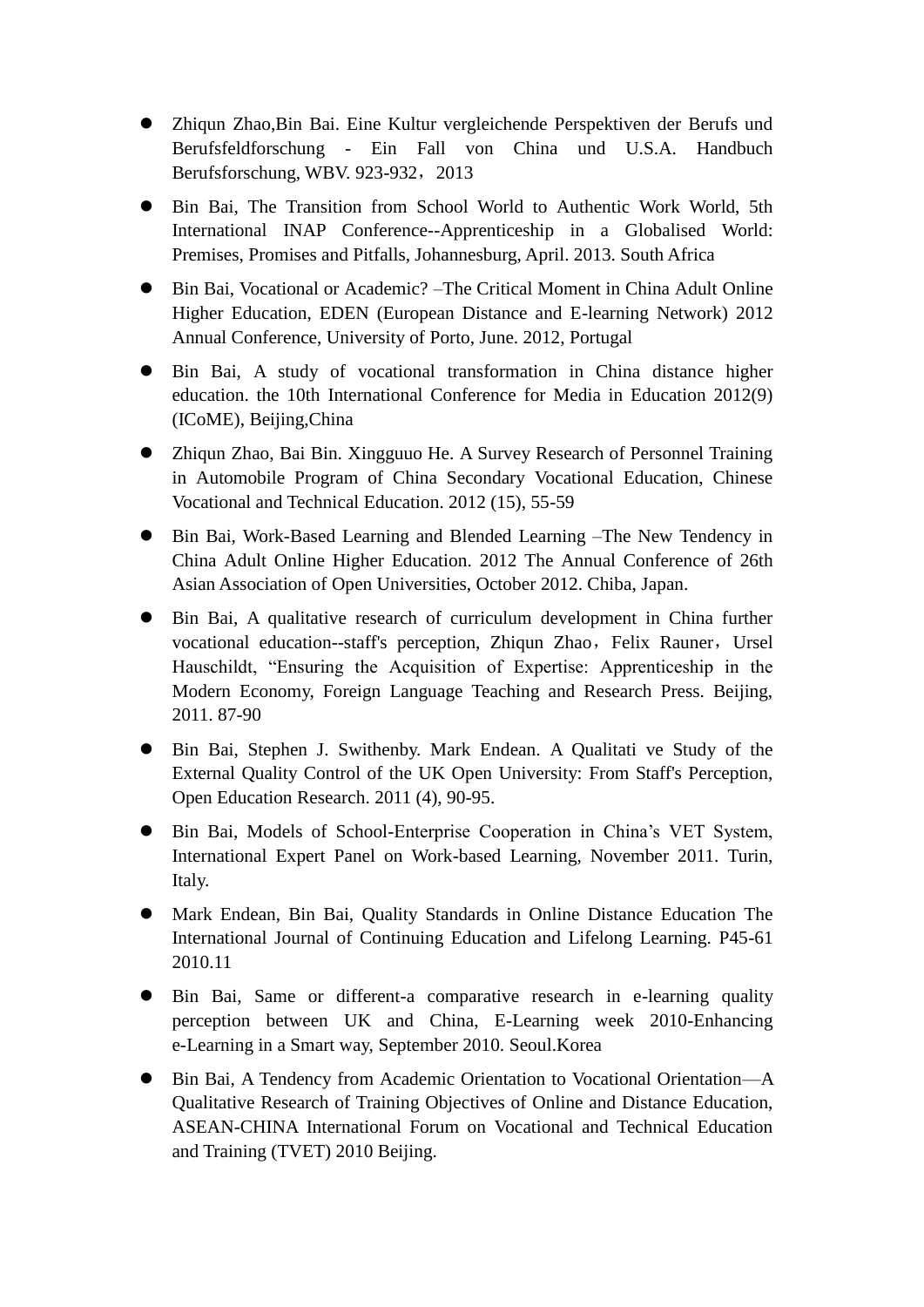- Zhiqun Zhao,Bin Bai. Eine Kultur vergleichende Perspektiven der Berufs und Berufsfeldforschung - Ein Fall von China und U.S.A. Handbuch Berufsforschung, WBV. 923-932, 2013
- Bin Bai, The Transition from School World to Authentic Work World, 5th International INAP Conference--Apprenticeship in a Globalised World: Premises, Promises and Pitfalls, Johannesburg, April. 2013. South Africa
- Bin Bai, Vocational or Academic? –The Critical Moment in China Adult Online Higher Education, EDEN (European Distance and E-learning Network) 2012 Annual Conference, University of Porto, June. 2012, Portugal
- Bin Bai, A study of vocational transformation in China distance higher education. the 10th International Conference for Media in Education 2012(9) (ICoME), Beijing,China
- Zhiqun Zhao, Bai Bin. Xingguuo He. A Survey Research of Personnel Training in Automobile Program of China Secondary Vocational Education, Chinese Vocational and Technical Education. 2012 (15), 55-59
- Bin Bai, Work-Based Learning and Blended Learning –The New Tendency in China Adult Online Higher Education. 2012 The Annual Conference of 26th Asian Association of Open Universities, October 2012. Chiba, Japan.
- Bin Bai, A qualitative research of curriculum development in China further vocational education--staff's perception, Zhiqun Zhao, Felix Rauner, Ursel Hauschildt, "Ensuring the Acquisition of Expertise: Apprenticeship in the Modern Economy, Foreign Language Teaching and Research Press. Beijing, 2011. 87-90
- Bin Bai, Stephen J. Swithenby. Mark Endean. A Qualitati ve Study of the External Quality Control of the UK Open University: From Staff's Perception, Open Education Research. 2011 (4), 90-95.
- Bin Bai, Models of School-Enterprise Cooperation in China's VET System, International Expert Panel on Work-based Learning, November 2011. Turin, Italy.
- Mark Endean, Bin Bai, Quality Standards in Online Distance Education The International Journal of Continuing Education and Lifelong Learning. P45-61 2010.11
- Bin Bai, Same or different-a comparative research in e-learning quality perception between UK and China, E-Learning week 2010-Enhancing e-Learning in a Smart way, September 2010. [Seoul.](http://www.iciba.com/Seoul)Korea
- Bin Bai, A Tendency from Academic Orientation to Vocational Orientation—A Qualitative Research of Training Objectives of Online and Distance Education, ASEAN-CHINA International Forum on Vocational and Technical Education and Training (TVET) 2010 Beijing.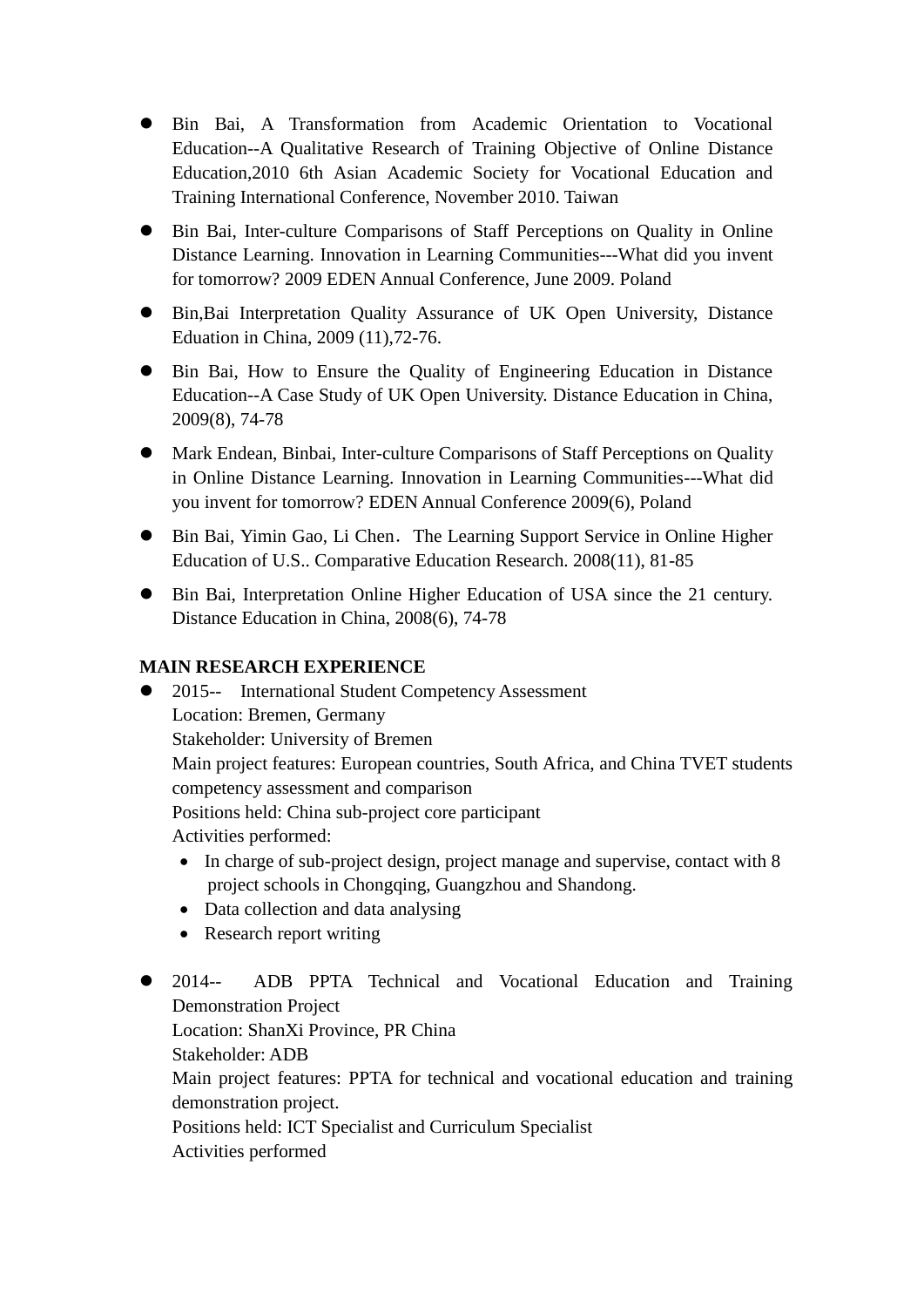- Bin Bai, A Transformation from Academic Orientation to Vocational Education--A Qualitative Research of Training Objective of Online Distance Education,2010 6th Asian Academic Society for Vocational Education and Training International Conference, November 2010. Taiwan
- Bin Bai, Inter-culture Comparisons of Staff Perceptions on Quality in Online Distance Learning. Innovation in Learning Communities---What did you invent for tomorrow? 2009 EDEN Annual Conference, June 2009. Poland
- Bin,Bai [Interpretation](javascript:showjdsw() Quality Assurance of UK Open University, Distance Eduation in China, 2009 (11),72-76.
- Bin Bai, How to Ensure the Quality of Engineering Education in Distance Education--A Case Study of UK Open University. Distance Education in China, 2009(8), 74-78
- Mark Endean, Binbai, Inter-culture Comparisons of Staff Perceptions on Quality in Online Distance Learning. Innovation in Learning Communities---What did you invent for tomorrow? EDEN Annual Conference 2009(6), Poland
- Bin Bai, Yimin Gao, Li Chen. The Learning Support Service in Online Higher Education of U.S.. Comparative Education Research. 2008(11), 81-85
- Bin Bai, [Interpretation](javascript:showjdsw() Online Higher Education of USA since the 21 century. Distance Education in China, 2008(6), 74-78

# **MAIN RESEARCH EXPERIENCE**

• 2015-- International Student Competency Assessment Location: Bremen, Germany Stakeholder: University of Bremen Main project features: European countries, South Africa, and China TVET students competency assessment and comparison Positions held: China sub-project core participant Activities performed: • In charge of sub-project design, project manage and supervise, contact with 8 project schools in Chongqing, Guangzhou and Shandong. • Data collection and data analysing

- Research report writing
- 2014-- ADB PPTA Technical and Vocational Education and Training Demonstration Project Location: ShanXi Province, PR China Stakeholder: ADB Main project features: PPTA for technical and vocational education and training demonstration project. Positions held: ICT Specialist and Curriculum Specialist Activities performed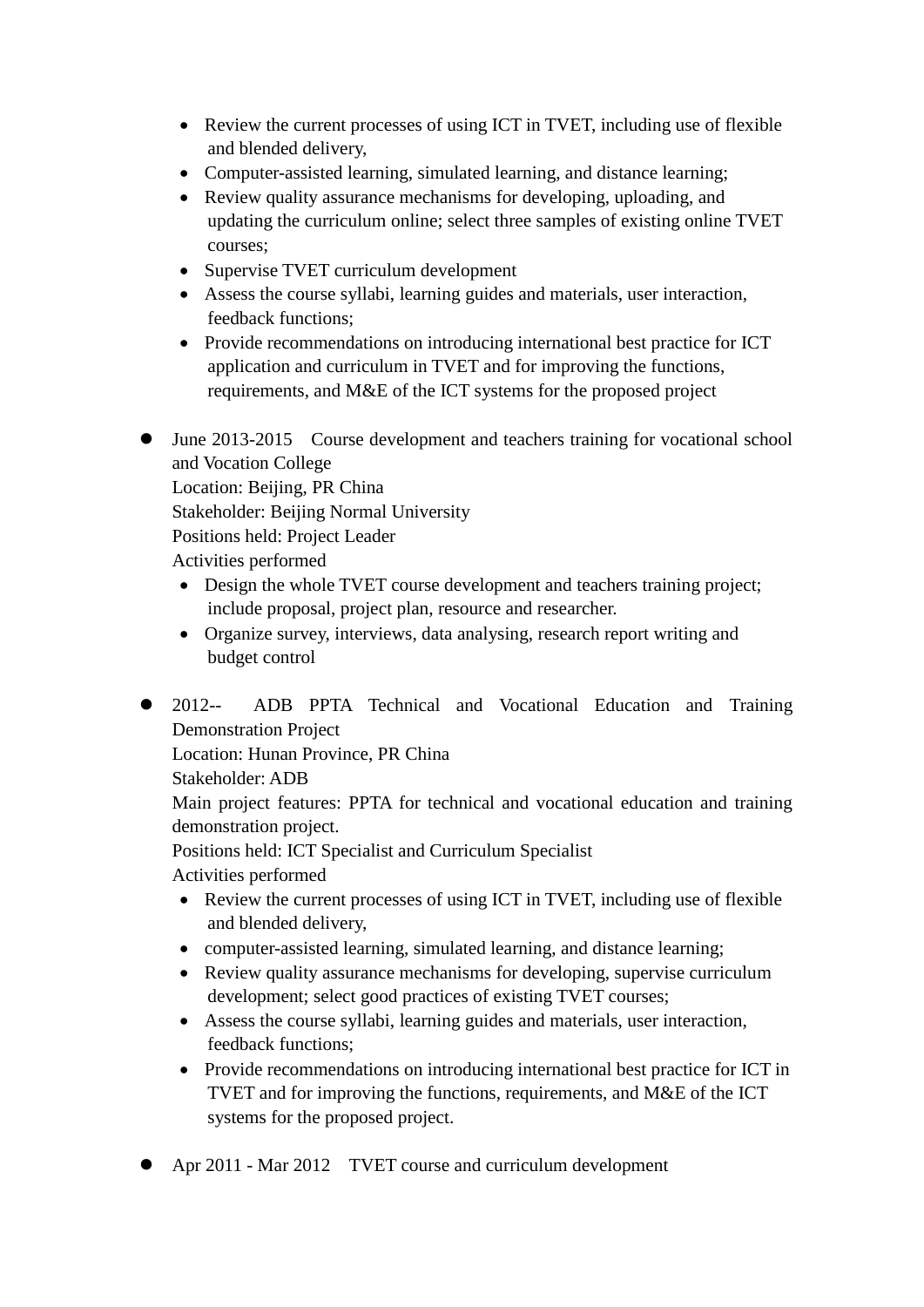- Review the current processes of using ICT in TVET, including use of flexible and blended delivery,
- Computer-assisted learning, simulated learning, and distance learning;
- Review quality assurance mechanisms for developing, uploading, and updating the curriculum online; select three samples of existing online TVET courses;
- Supervise TVET curriculum development
- Assess the course syllabi, learning guides and materials, user interaction, feedback functions;
- Provide recommendations on introducing international best practice for ICT application and curriculum in TVET and for improving the functions, requirements, and M&E of the ICT systems for the proposed project
- June 2013-2015 Course development and teachers training for vocational school and Vocation College

Location: Beijing, PR China Stakeholder: Beijing Normal University Positions held: Project Leader Activities performed

- Design the whole TVET course development and teachers training project; include proposal, project plan, resource and researcher.
- Organize survey, interviews, data analysing, research report writing and budget control
- 2012-- ADB PPTA Technical and Vocational Education and Training Demonstration Project

Location: Hunan Province, PR China

Stakeholder: ADB

Main project features: PPTA for technical and vocational education and training demonstration project.

Positions held: ICT Specialist and Curriculum Specialist

Activities performed

- Review the current processes of using ICT in TVET, including use of flexible and blended delivery,
- computer-assisted learning, simulated learning, and distance learning;
- Review quality assurance mechanisms for developing, supervise curriculum development; select good practices of existing TVET courses;
- Assess the course syllabi, learning guides and materials, user interaction, feedback functions;
- Provide recommendations on introducing international best practice for ICT in TVET and for improving the functions, requirements, and M&E of the ICT systems for the proposed project.
- Apr 2011 Mar 2012 TVET course and curriculum development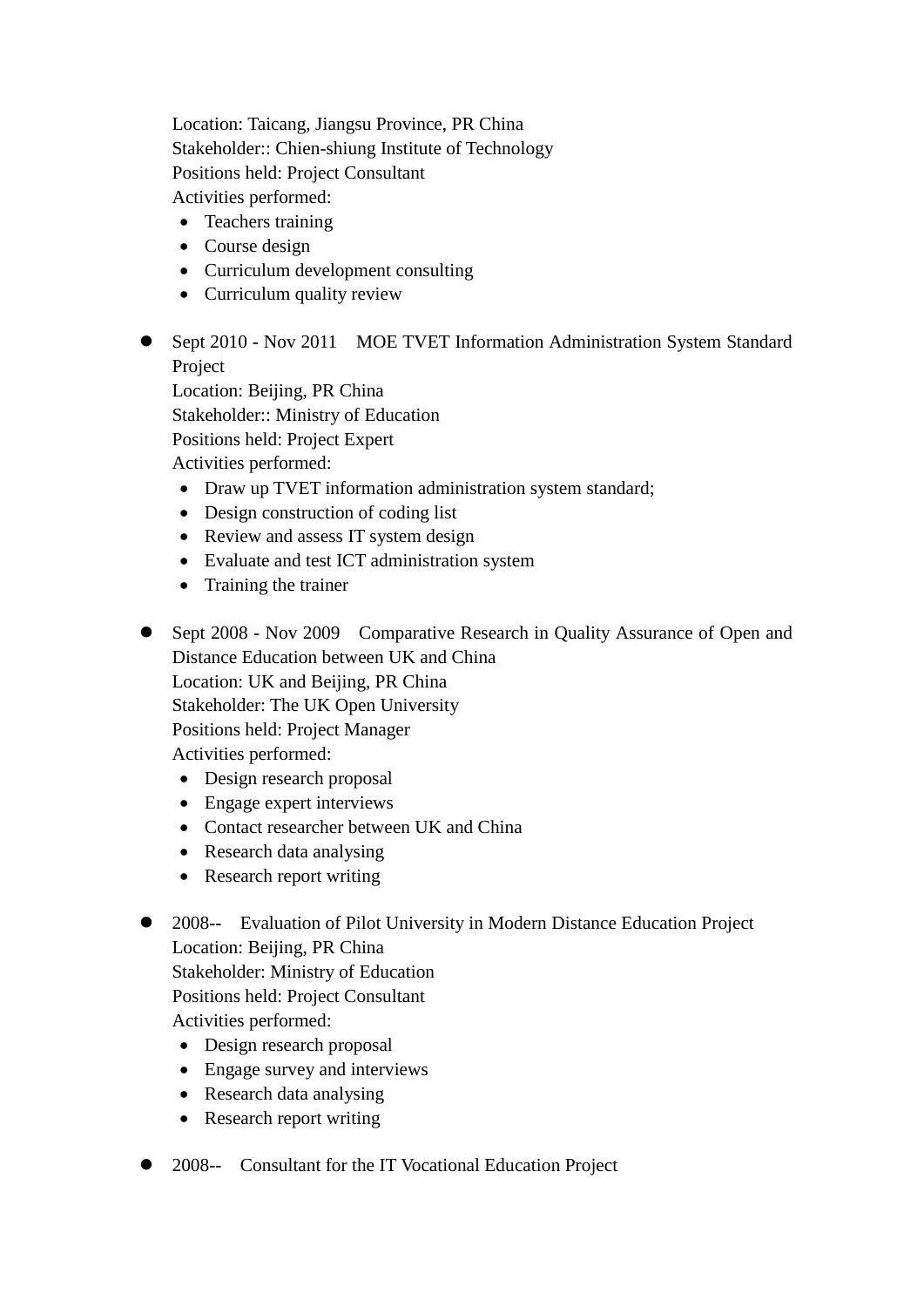Location: Taicang, Jiangsu Province, PR China Stakeholder:: Chien-shiung Institute of Technology Positions held: Project Consultant Activities performed:

- Teachers training
- Course design
- Curriculum development consulting
- Curriculum quality review
- Sept 2010 Nov 2011 MOE TVET Information Administration System Standard Project

Location: Beijing, PR China Stakeholder:: Ministry of Education Positions held: Project Expert Activities performed:

- Draw up TVET information administration system standard;
- Design construction of coding list
- Review and assess IT system design
- Evaluate and test ICT administration system
- Training the trainer

• Sept 2008 - Nov 2009 Comparative Research in Quality Assurance of Open and Distance Education between UK and China Location: UK and Beijing, PR China Stakeholder: The UK Open University Positions held: Project Manager Activities performed:

- Design research proposal
- Engage expert interviews
- Contact researcher between UK and China
- Research data analysing
- Research report writing
- 2008-- Evaluation of Pilot University in Modern Distance Education Project Location: Beijing, PR China Stakeholder: Ministry of Education Positions held: Project Consultant Activities performed:
	- Design research proposal
	- Engage survey and interviews
	- Research data analysing
	- Research report writing
- 2008-- Consultant for the IT Vocational Education Project